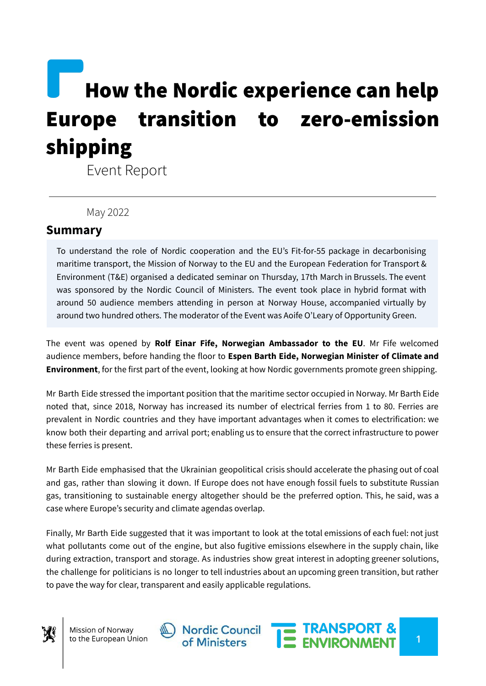## How the Nordic experience can help Europe transition to zero-emission shipping

Event Report

May 2022

## **Summary**

To understand the role of Nordic cooperation and the EU's Fit-for-55 package in decarbonising maritime transport, the Mission of Norway to the EU and the European Federation for Transport & Environment (T&E) organised a dedicated seminar on Thursday, 17th March in Brussels. The event was sponsored by the Nordic Council of Ministers. The event took place in hybrid format with around 50 audience members attending in person at Norway House, accompanied virtually by around two hundred others. The moderator of the Event was Aoife O'Leary of Opportunity Green.

The event was opened by **Rolf Einar Fife, Norwegian Ambassador to the EU**. Mr Fife welcomed audience members, before handing the floor to **Espen Barth Eide, Norwegian Minister of Climate and Environment**, for the first part of the event, looking at how Nordic governments promote green shipping.

Mr Barth Eide stressed the important position that the maritime sector occupied in Norway. Mr Barth Eide noted that, since 2018, Norway has increased its number of electrical ferries from 1 to 80. Ferries are prevalent in Nordic countries and they have important advantages when it comes to electrification: we know both their departing and arrival port; enabling us to ensure that the correct infrastructure to power these ferries is present.

Mr Barth Eide emphasised that the Ukrainian geopolitical crisis should accelerate the phasing out of coal and gas, rather than slowing it down. If Europe does not have enough fossil fuels to substitute Russian gas, transitioning to sustainable energy altogether should be the preferred option. This, he said, was a case where Europe's security and climate agendas overlap.

Finally, Mr Barth Eide suggested that it was important to look at the total emissions of each fuel: not just what pollutants come out of the engine, but also fugitive emissions elsewhere in the supply chain, like during extraction, transport and storage. As industries show great interest in adopting greener solutions, the challenge for politicians is no longer to tell industries about an upcoming green transition, but rather to pave the way for clear, transparent and easily applicable regulations.



Mission of Norway to the European Union



**1**

THE TRANSPORT &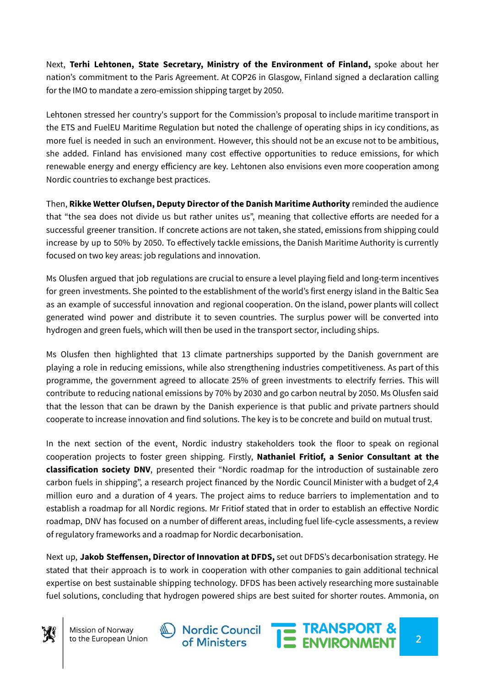Next, **Terhi Lehtonen, State Secretary, Ministry of the Environment of Finland,** spoke about her nation's commitment to the Paris Agreement. At COP26 in Glasgow, Finland signed a declaration calling for the IMO to mandate a zero-emission shipping target by 2050.

Lehtonen stressed her country's support for the Commission's proposal to include maritime transport in the ETS and FuelEU Maritime Regulation but noted the challenge of operating ships in icy conditions, as more fuel is needed in such an environment. However, this should not be an excuse not to be ambitious, she added. Finland has envisioned many cost effective opportunities to reduce emissions, for which renewable energy and energy efficiency are key. Lehtonen also envisions even more cooperation among Nordic countries to exchange best practices.

Then, **Rikke Wetter Olufsen, Deputy Director of the Danish Maritime Authority** reminded the audience that "the sea does not divide us but rather unites us", meaning that collective efforts are needed for a successful greener transition. If concrete actions are not taken, she stated, emissions from shipping could increase by up to 50% by 2050. To effectively tackle emissions, the Danish Maritime Authority is currently focused on two key areas: job regulations and innovation.

Ms Olusfen argued that job regulations are crucial to ensure a level playing field and long-term incentives for green investments. She pointed to the establishment of the world's first energy island in the Baltic Sea as an example of successful innovation and regional cooperation. On the island, power plants will collect generated wind power and distribute it to seven countries. The surplus power will be converted into hydrogen and green fuels, which will then be used in the transport sector, including ships.

Ms Olusfen then highlighted that 13 climate partnerships supported by the Danish government are playing a role in reducing emissions, while also strengthening industries competitiveness. As part of this programme, the government agreed to allocate 25% of green investments to electrify ferries. This will contribute to reducing national emissions by 70% by 2030 and go carbon neutral by 2050. Ms Olusfen said that the lesson that can be drawn by the Danish experience is that public and private partners should cooperate to increase innovation and find solutions. The key is to be concrete and build on mutual trust.

In the next section of the event, Nordic industry stakeholders took the floor to speak on regional cooperation projects to foster green shipping. Firstly, **Nathaniel Fritiof, a Senior Consultant at the classification society DNV**, presented their "Nordic roadmap for the introduction of sustainable zero carbon fuels in shipping", a research project financed by the Nordic Council Minister with a budget of 2,4 million euro and a duration of 4 years. The project aims to reduce barriers to implementation and to establish a roadmap for all Nordic regions. Mr Fritiof stated that in order to establish an effective Nordic roadmap, DNV has focused on a number of different areas, including fuel life-cycle assessments, a review of regulatory frameworks and a roadmap for Nordic decarbonisation.

Next up, **Jakob Steffensen, Director of Innovation at DFDS,** set out DFDS's decarbonisation strategy. He stated that their approach is to work in cooperation with other companies to gain additional technical expertise on best sustainable shipping technology. DFDS has been actively researching more sustainable fuel solutions, concluding that hydrogen powered ships are best suited for shorter routes. Ammonia, on



Mission of Norway to the European Union





**2**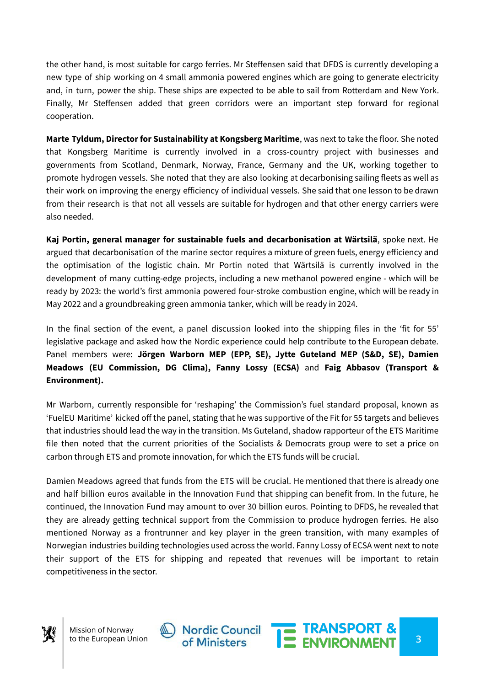the other hand, is most suitable for cargo ferries. Mr Steffensen said that DFDS is currently developing a new type of ship working on 4 small ammonia powered engines which are going to generate electricity and, in turn, power the ship. These ships are expected to be able to sail from Rotterdam and New York. Finally, Mr Steffensen added that green corridors were an important step forward for regional cooperation.

**Marte Tyldum, Director for Sustainability at Kongsberg Maritime**, was next to take the floor. She noted that Kongsberg Maritime is currently involved in a cross-country project with businesses and governments from Scotland, Denmark, Norway, France, Germany and the UK, working together to promote hydrogen vessels. She noted that they are also looking at decarbonising sailing fleets as well as their work on improving the energy efficiency of individual vessels. She said that one lesson to be drawn from their research is that not all vessels are suitable for hydrogen and that other energy carriers were also needed.

**Kaj Portin, general manager for sustainable fuels and decarbonisation at Wärtsilä**, spoke next. He argued that decarbonisation of the marine sector requires a mixture of green fuels, energy efficiency and the optimisation of the logistic chain. Mr Portin noted that Wärtsilä is currently involved in the development of many cutting-edge projects, including a new methanol powered engine - which will be ready by 2023: the world's first ammonia powered four-stroke combustion engine, which will be ready in May 2022 and a groundbreaking green ammonia tanker, which will be ready in 2024.

In the final section of the event, a panel discussion looked into the shipping files in the 'fit for 55' legislative package and asked how the Nordic experience could help contribute to the European debate. Panel members were: **Jörgen Warborn MEP (EPP, SE), Jytte Guteland MEP (S&D, SE), Damien Meadows (EU Commission, DG Clima), Fanny Lossy (ECSA)** and **Faig Abbasov (Transport & Environment).**

Mr Warborn, currently responsible for 'reshaping' the Commission's fuel standard proposal, known as 'FuelEU Maritime' kicked off the panel, stating that he was supportive of the Fit for 55 targets and believes that industries should lead the way in the transition. Ms Guteland, shadow rapporteur of the ETS Maritime file then noted that the current priorities of the Socialists & Democrats group were to set a price on carbon through ETS and promote innovation, for which the ETS funds will be crucial.

Damien Meadows agreed that funds from the ETS will be crucial. He mentioned that there is already one and half billion euros available in the Innovation Fund that shipping can benefit from. In the future, he continued, the Innovation Fund may amount to over 30 billion euros. Pointing to DFDS, he revealed that they are already getting technical support from the Commission to produce hydrogen ferries. He also mentioned Norway as a frontrunner and key player in the green transition, with many examples of Norwegian industries building technologies used across the world. Fanny Lossy of ECSA went next to note their support of the ETS for shipping and repeated that revenues will be important to retain competitiveness in the sector.



Mission of Norway to the European Union



THE TRANSPORT &